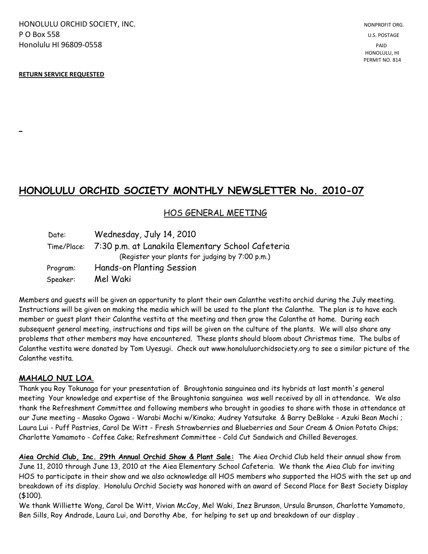HONOLULU ORCHID SOCIETY, INC. NONPROFIT ORG. NONPROFIT ORG. **P O Box 558** U.S. POSTAGE Honolulu HI 96809-0558 PAID

#### **RETURN SERVICE REQUESTED**

**\_**

## **HONOLULU ORCHID SOCIETY MONTHLY NEWSLETTER No. 2010-07**

### HOS GENERAL MEETING

| Date:    | Wednesday, July 14, 2010                                      |
|----------|---------------------------------------------------------------|
|          | Time/Place: 7:30 p.m. at Lanakila Elementary School Cafeteria |
|          | (Register your plants for judging by 7:00 p.m.)               |
| Program: | Hands-on Planting Session                                     |
| Speaker: | Mel Waki                                                      |

Members and guests will be given an opportunity to plant their own Calanthe vestita orchid during the July meeting. Instructions will be given on making the media which will be used to the plant the Calanthe. The plan is to have each member or guest plant their Calanthe vestita at the meeting and then grow the Calanthe at home. During each subsequent general meeting, instructions and tips will be given on the culture of the plants. We will also share any problems that other members may have encountered. These plants should bloom about Christmas time. The bulbs of Calanthe vestita were donated by Tom Uyesugi. Check out www.honoluluorchidsociety.org to see a similar picture of the Calanthe vestita.

### **MAHALO NUI LOA**.

Thank you Roy Tokunaga for your presentation of Broughtonia sanguinea and its hybrids at last month's general meeting Your knowledge and expertise of the Broughtonia sanguinea was well received by all in attendance. We also thank the Refreshment Committee and following members who brought in goodies to share with those in attendance at our June meeting - Masako Ogawa - Warabi Mochi w/Kinako; Audrey Yatsutake & Barry DeBlake - Azuki Bean Mochi ; Laura Lui - Puff Pastries, Carol De Witt - Fresh Strawberries and Blueberries and Sour Cream & Onion Potato Chips; Charlotte Yamamoto - Coffee Cake; Refreshment Committee - Cold Cut Sandwich and Chilled Beverages.

**Aiea Orchid Club, Inc. 29th Annual Orchid Show & Plant Sale:** The Aiea Orchid Club held their annual show from June 11, 2010 through June 13, 2010 at the Aiea Elementary School Cafeteria. We thank the Aiea Club for inviting HOS to participate in their show and we also acknowledge all HOS members who supported the HOS with the set up and breakdown of its display. Honolulu Orchid Society was honored with an award of Second Place for Best Society Display (\$100).

We thank Williette Wong, Carol De Witt, Vivian McCoy, Mel Waki, Inez Brunson, Ursula Brunson, Charlotte Yamamoto, Ben Sills, Roy Andrade, Laura Lui, and Dorothy Abe, for helping to set up and breakdown of our display .